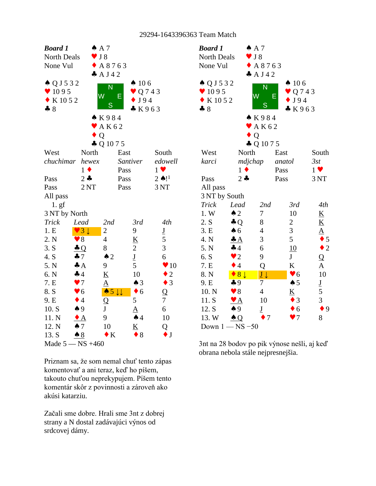| <b>Board 1</b>            |                        | A A 7                             |                          |                          | Bo             |
|---------------------------|------------------------|-----------------------------------|--------------------------|--------------------------|----------------|
| <b>North Deals</b>        |                        | J 8                               |                          |                          | N <sub>0</sub> |
| None Vul                  |                        | A 8 7 6 3                         |                          |                          | N <sub>0</sub> |
|                           |                        | A J42                             |                          |                          |                |
| $\triangle Q$ J 5 3 2     |                        | $\overline{\mathsf{N}}$           | $\spadesuit$ 106         |                          | ا ہ            |
| $\blacktriangledown$ 1095 |                        | W<br>E                            | $\bullet$ Q 7 4 3        |                          |                |
| $\bullet$ K 10 5 2        |                        |                                   | J94                      |                          |                |
| $-8$                      |                        | S                                 | K963                     |                          | 4              |
|                           |                        | K984                              |                          |                          |                |
|                           |                        | AK62                              |                          |                          |                |
|                           |                        | Q                                 |                          |                          |                |
|                           |                        | $\clubsuit$ Q 10 7 5              |                          |                          |                |
| West                      | North                  |                                   | East                     | South                    | W              |
|                           | chuchimar hewex        |                                   | Santiver                 | edowell                  | ka             |
|                           | $1 \bullet$            |                                   | Pass                     | $1 \vee$                 |                |
| Pass                      | $2 - 1$                |                                   | Pass                     | $2 \spadesuit !$         | Pa             |
| Pass                      | 2NT                    |                                   | Pass                     | 3NT                      | A <sub>l</sub> |
| All pass                  |                        |                                   |                          |                          | 31             |
| 1. g f                    |                        |                                   |                          |                          | Tr             |
| 3 NT by North             |                        |                                   |                          |                          | 1.             |
| <b>Trick</b>              | Lead                   | 2nd                               | 3rd                      | 4th                      | 2.             |
| 1.E                       | $\vee$ 3 $\downarrow$  | $\overline{c}$                    | 9                        | $\underline{\mathbf{J}}$ | 3.             |
| 2. N                      | $\blacktriangledown 8$ | $\overline{4}$                    | $\underline{\mathbf{K}}$ | 5                        | 4.             |
| 3. S                      | $\triangle Q$          | 8                                 | $\overline{2}$           | 3                        | 5.             |
| 4. S                      | $\clubsuit$ 7          | $\triangle$ 2                     | $\underline{\mathbf{J}}$ | 6                        | 6.             |
| 5. N                      | $\triangleq$           | 9                                 | 5                        | $\blacktriangledown 10$  | 7.             |
| 6. N                      | $\clubsuit$ 4          | $\overline{\mathbf{K}}$           | 10                       | $\bullet$ 2              | 8.             |
| 7. E                      | $\blacktriangledown$   | $\underline{A}$                   | $\triangle$ 3            | $\bullet$ 3              | 9.             |
| 8. S                      | $\blacktriangledown 6$ | $\bullet 5 \downarrow \downarrow$ | $\bullet$ 6              | Q                        | 10             |
| 9. E                      | $\bullet$ 4            | Q                                 | 5                        | $\overline{7}$           | 11             |
| 10. S                     | $\spadesuit$ 9         | ${\bf J}$                         | ${\underline{\rm A}}$    | 6                        | 12             |
| 11. N                     | $\bullet$ A            | 9                                 | $\spadesuit$ 4           | 10                       | 13             |
| 12. N                     | $\spadesuit$ 7         | 10                                | <u>K</u>                 | Q                        | D <sub>c</sub> |
| 13. S                     | $\triangle$ 8          | $\bullet K$                       | $\bullet$ 8              | $\bullet$ J              |                |
|                           | Made $5 - NS +460$     |                                   |                          |                          | 3nt            |

Priznam sa, že som nemal chuť tento zápas komentovať a ani teraz, keď ho píšem, takouto chuťou neprekypujem. Píšem tento komentár skôr z povinnosti a zároveň ako akúsi katarziu.

Začali sme dobre. Hrali sme 3nt z dobrej strany a N dostal zadávajúci výnos od srdcovej dámy.

| <b>Board 1</b>            |                           | $AA$ 7                     |        |                          |                          |  |
|---------------------------|---------------------------|----------------------------|--------|--------------------------|--------------------------|--|
| North Deals               |                           | J 8                        |        |                          |                          |  |
| None Vul                  |                           | $\triangle$ A 8763         |        |                          |                          |  |
|                           |                           | A J42                      |        |                          |                          |  |
| $\triangle Q$ J 5 3 2     |                           | N                          |        | $\spadesuit$ 106         |                          |  |
| $\blacktriangledown$ 1095 |                           | W                          | Ε      | $\bullet$ Q 7 4 3        |                          |  |
| $\bullet$ K 10 5 2        |                           | S                          |        | J94                      |                          |  |
| $-8$                      |                           |                            |        | K963                     |                          |  |
|                           |                           | K984                       |        |                          |                          |  |
|                           |                           | $\blacktriangleright$ AK62 |        |                          |                          |  |
|                           | $\bullet$ Q               |                            |        |                          |                          |  |
|                           |                           | $\clubsuit$ Q 10 7 5       |        |                          |                          |  |
| West                      | North                     |                            | East   |                          | South                    |  |
| karci                     | mdjchap                   |                            | anatol |                          | 3st                      |  |
|                           | $1 \bullet$               |                            | Pass   |                          | $1 \vee$                 |  |
| Pass                      | $2 -$                     |                            | Pass   |                          | 3 NT                     |  |
| All pass                  |                           |                            |        |                          |                          |  |
| 3 NT by South<br>Trick    | Lead                      | 2nd                        |        | 3rd                      | 4th                      |  |
| 1.W                       | $\triangle$ 2             | 7                          |        | 10                       | $\underline{\mathbf{K}}$ |  |
| 2. S                      | $\clubsuit$ Q             | 8                          |        | $\overline{c}$           | <u>K</u>                 |  |
| 3.E                       | $\clubsuit$ 6             | $\overline{4}$             |        | 3                        | $\underline{A}$          |  |
| 4. N                      | $\clubsuit$ $A$           | 3                          |        | 5                        | $\bullet$ 5              |  |
| 5. N                      | 44                        | 6                          |        | 10                       | $\bullet$ 2              |  |
| 6. S                      | $\bullet$ 2               | 9                          |        | $J_{-}$                  | $\overline{Q}$           |  |
| 7. E                      | $\bullet$ 4               | Q                          |        | K                        | $\underline{A}$          |  |
| 8. N                      | $\bullet$ 8 $\downarrow$  | $\underline{J}\downarrow$  |        | $\blacktriangledown 6$   | 10                       |  |
| 9. E                      | $\clubsuit$ 9             | 7                          |        | $\spadesuit$ 5           |                          |  |
| 10. N                     | $\blacktriangledown 8$    | $\overline{4}$             |        | $\underline{\mathbf{K}}$ | $rac{J}{5}$              |  |
| 11. S                     | $\mathbf{Y}$ $\mathbf{A}$ | 10                         |        | $\bullet$ 3              | 3                        |  |
| 12. S                     | $\spadesuit$ 9            | $\underline{\mathbf{J}}$   |        | $\bullet$ 6              | 9                        |  |
| 13. W                     | $\triangle Q$             | 7                          |        | 7                        | 8                        |  |
| Down $1 - NS - 50$        |                           |                            |        |                          |                          |  |

3nt na 28 bodov po pik výnose nešli, aj keď obrana nebola stále nejpresnejšia.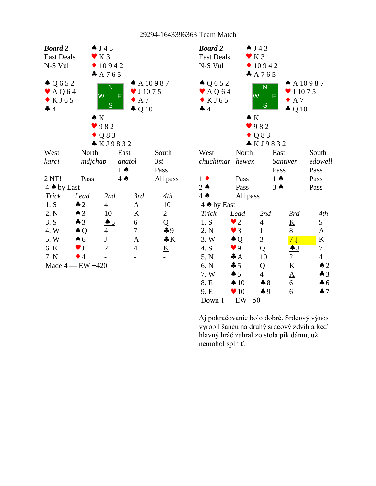

| <b>Board 2</b>             | $\spadesuit$ J 43 |                |                          |                          |  |
|----------------------------|-------------------|----------------|--------------------------|--------------------------|--|
| <b>East Deals</b>          | $\mathbf{V}$ K 3  |                |                          |                          |  |
| N-S Vul                    |                   | 10942          |                          |                          |  |
|                            |                   | A 765          |                          |                          |  |
| $\triangle Q 6 5 2$        |                   | N              | $A$ A 10987              |                          |  |
| $\blacktriangleright$ AQ64 | W                 |                | $\times$ J 1075          |                          |  |
| $\bullet$ KJ65             |                   | Е              | $\bullet$ A 7            |                          |  |
| 44                         |                   | S              | $\clubsuit$ Q 10         |                          |  |
|                            | $\bullet K$       |                |                          |                          |  |
|                            | 982               |                |                          |                          |  |
|                            | $\bullet$ Q 8 3   |                |                          |                          |  |
|                            |                   | * KJ9832       |                          |                          |  |
| West                       | North             | East           |                          | South                    |  |
| chuchimar hewex            |                   | Santiver       |                          | edowell                  |  |
|                            |                   | Pass           |                          | Pass                     |  |
| $1 \bullet$                | Pass              | $1 \spadesuit$ |                          | Pass                     |  |
| $2 \triangle$              | Pass              | $3 \spadesuit$ |                          | Pass                     |  |
| $4 \spadesuit$             | All pass          |                |                          |                          |  |
| 4 A by East                |                   |                |                          |                          |  |
| <b>Trick</b>               | Lead              | 2nd            | 3rd                      | 4th                      |  |
| 1. S                       | $\bullet$ 2       | $\overline{4}$ | $\underline{\mathbf{K}}$ | 5                        |  |
| 2. N                       | $\vee$ 3          | J              | 8                        | $\underline{A}$          |  |
| 3. W                       | $\triangle Q$     | 3              | 7 <sub>1</sub>           | $\underline{\mathbf{K}}$ |  |
| 4. S                       | $\bullet$ 9       | Q              | $\triangle J$            | 7                        |  |
| 5. N                       | $\triangleq$      | 10             | $\overline{2}$           | $\overline{4}$           |  |
| 6. N                       | $\clubsuit$ 5     | Q              | K                        | $\triangle$ 2            |  |
| 7. W                       | $\spadesuit$ 5    | $\overline{4}$ | $\underline{A}$          | $\clubsuit$ 3            |  |
| 8. E                       | $\triangle 10$    | $\clubsuit 8$  | 6                        | $\clubsuit$ 6            |  |
| 9. E                       | $\sqrt{10}$       | $\clubsuit$ 9  | 6                        | $\clubsuit$ 7            |  |
| Down $1$ - EW -50          |                   |                |                          |                          |  |

Aj pokračovanie bolo dobré. Srdcový výnos vyrobil šancu na druhý srdcový zdvih a keď hlavný hráč zahral zo stola pik dámu, už nemohol splniť.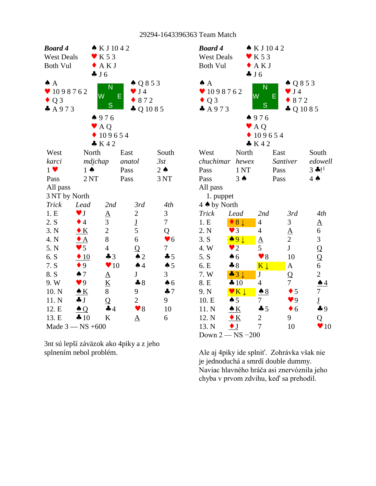| <b>Board 4</b>    |                        | $\bullet$ KJ1042         |                          |                        | <b>Boa</b>                   |
|-------------------|------------------------|--------------------------|--------------------------|------------------------|------------------------------|
| <b>West Deals</b> |                        | $\mathbf{V}$ K 5 3       |                          |                        | We:                          |
| <b>Both Vul</b>   |                        | $\blacklozenge$ AKJ      |                          |                        | <b>Bot</b>                   |
|                   |                        | J6                       |                          |                        |                              |
| $\spadesuit$ A    |                        | N                        | $\triangle Q853$         |                        | $\triangle$ $\angle$         |
| 98762             |                        | W<br>E                   | $\bullet$ J4             |                        | $\blacktriangledown$ 1       |
| $\triangle Q3$    |                        | S                        | $\bullet$ 872            |                        | $\bullet$ (                  |
| A973              |                        |                          | $\clubsuit$ Q 10 8 5     |                        | $\clubsuit$ $\measuredangle$ |
|                   |                        | 4976                     |                          |                        |                              |
|                   |                        | $\blacktriangleright$ AQ |                          |                        |                              |
|                   |                        | 109654                   |                          |                        |                              |
|                   |                        | K42                      |                          |                        |                              |
| West              | North                  | East                     |                          | South                  | We:                          |
| karci             | mdjchap                |                          | anatol                   | 3st                    | $\mathit{chu}$               |
| $1 \vee$          | $1 \spadesuit$         | Pass                     |                          | $2 \triangle$          | Pas:                         |
| Pass              | 2NT                    |                          | Pass                     | 3NT                    | Pas:                         |
| All pass          |                        |                          |                          |                        | All                          |
| 3 NT by North     |                        |                          |                          |                        | $\mathbf{1}$                 |
| Trick             | Lead                   | 2nd                      | 3rd                      | 4th                    | $4 \spadesuit$               |
| 1.E               | $\blacktriangledown$ J | $\underline{\mathbf{A}}$ | $\overline{c}$           | 3                      | Tric                         |
| 2. S              | $\bullet$ 4            | 3                        | $\underline{\mathbf{J}}$ | $\boldsymbol{7}$       | 1.E                          |
| 3. N              | $\bullet K$            | $\sqrt{2}$               | 5                        | Q                      | 2. N                         |
| 4. N              | $\triangle$            | 8                        | 6                        | $\blacktriangledown 6$ | 3. S                         |
| 5. N              | $\bullet$ 5            | $\overline{4}$           | $\overline{Q}$           | $\boldsymbol{7}$       | 4. V                         |
| 6. S              | $\div 10$              | $\clubsuit$ 3            | $\triangle$ 2            | $\clubsuit$ 5          | 5. S                         |
| 7. S              | $\bullet 9$            | $\blacktriangledown 10$  | $\spadesuit$ 4           | $\spadesuit$ 5         | 6. E                         |
| 8. S              | $\spadesuit$ 7         | <u>A</u>                 | $\mathbf J$              | 3                      | 7. V                         |
| 9. W              | $\blacktriangledown$ 9 | $\underline{\mathbf{K}}$ | $\clubsuit 8$            | $\spadesuit$ 6         | 8. E                         |
| 10. N             | $\triangle K$          | 8                        | 9                        | 47                     | 9. N                         |
| 11. N             | $\clubsuit$ J          | $\overline{Q}$           | $\overline{2}$           | 9                      | 10.                          |
| 12. E             | $\triangle Q$          | 44                       | $\blacktriangledown 8$   | 10                     | 11.                          |
| 13. E             | 410                    | K                        | $\Delta$                 | 6                      | 12.                          |
|                   | Made $3 - NS + 600$    |                          |                          |                        | 13.                          |

3nt sú lepší záväzok ako 4piky a z jeho splnením nebol problém.

| <b>Board 4</b>    |                                                 | $\bullet$ KJ1042         |                        |                          |  |
|-------------------|-------------------------------------------------|--------------------------|------------------------|--------------------------|--|
| <b>West Deals</b> |                                                 | K 5 3                    |                        |                          |  |
| <b>Both Vul</b>   |                                                 | AKJ                      |                        |                          |  |
|                   |                                                 | J6                       |                        |                          |  |
| $\spadesuit$ A    |                                                 | N                        | $\triangle Q853$       |                          |  |
| 98762             |                                                 | W                        | $\bullet$ J4<br>Е      |                          |  |
| $\bullet$ Q 3     |                                                 |                          | 872                    |                          |  |
| A973              |                                                 | S                        | $\clubsuit$ Q 10 8 5   |                          |  |
|                   |                                                 | 4976                     |                        |                          |  |
|                   |                                                 | $\blacktriangleright$ AQ |                        |                          |  |
|                   |                                                 | 109654                   |                        |                          |  |
|                   |                                                 | K42                      |                        |                          |  |
| West              | North                                           |                          | East                   | South                    |  |
| chuchimar         | hewex                                           |                          | Santiver               | edowell                  |  |
| Pass              | 1 NT                                            |                          | Pass                   | $3 * 11$                 |  |
| Pass              | $3 \spadesuit$                                  |                          | Pass                   | $4 \spadesuit$           |  |
| All pass          |                                                 |                          |                        |                          |  |
| 1. puppet         |                                                 |                          |                        |                          |  |
| 4 A by North      |                                                 |                          |                        |                          |  |
| Trick             | Lead                                            | 2nd                      | 3rd                    | 4th                      |  |
| 1.E               | 8 <sup>1</sup>                                  | $\overline{4}$           | 3                      | $\underline{A}$          |  |
| 2. N              | $\bullet$ 3                                     | $\overline{4}$           | ${\underline{\rm A}}$  | 6                        |  |
| 3. S              | $\bullet$ 9                                     | $\underline{\mathbf{A}}$ | $\overline{2}$         | $\overline{\mathbf{3}}$  |  |
| 4.W               | $\bullet$ 2                                     | 5                        | J                      | $\overline{Q}$           |  |
| 5. S              | $\clubsuit$ 6                                   | $\blacktriangledown 8$   | 10                     | $\frac{\mathsf{Q}}{6}$   |  |
| 6. E              | $*8$                                            | $K \downarrow$           | $\underline{A}$        |                          |  |
| 7. W              | $-3+$                                           | $\mathbf J$              | Q                      | $\overline{c}$           |  |
| 8. E              | 410                                             | 4                        | 7                      | $\spadesuit$ 4           |  |
| 9. N              | $\mathbf{v}$ $\mathbf{K}$ $\mathbf{\downarrow}$ | $\clubsuit 8$            | $\bullet$ 5            | 7                        |  |
| 10. E             | $\spadesuit 5$                                  | 7                        | $\blacktriangledown$ 9 | $\underline{\mathbf{J}}$ |  |
| 11. N             | $\bullet K$                                     | 45                       | $\bullet$ 6            | 49                       |  |
| 12. N             | $\bullet K$                                     | $\overline{2}$           | 9                      | Q                        |  |
| 13. N             | $\bullet$ J                                     | 7                        | 10                     | 10<br>v                  |  |
| Down 2            | $-$ NS $-200$                                   |                          |                        |                          |  |

Ale aj 4piky ide splniť. Zohrávka však nie je jednoduchá a smrdí double dummy. Naviac hlavného hráča asi znervóznila jeho chyba v prvom zdvihu, keď sa prehodil.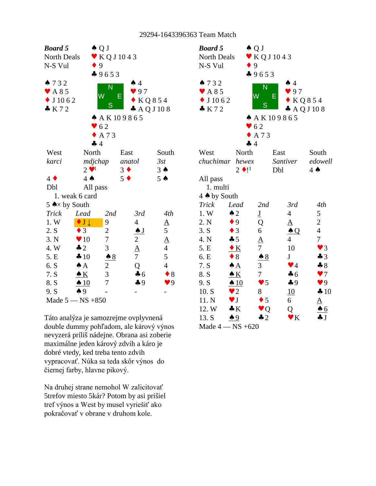| <b>Board 5</b>                |                          | $\triangle Q$ J   |                         |                | <b>Boa</b>                        |
|-------------------------------|--------------------------|-------------------|-------------------------|----------------|-----------------------------------|
| North Deals                   |                          | $\bullet$ KQJ1043 |                         |                | Nor                               |
| N-S Vul                       |                          | 9                 |                         |                | $N-S$                             |
|                               |                          | 49653             |                         |                |                                   |
| 732                           |                          | N                 | $\spadesuit$ 4          |                | $\spadesuit$ 7                    |
| $\blacktriangleright$ A 8 5   |                          | W                 | 97                      |                | V A                               |
| $\bullet$ J 10 6 2            |                          |                   | Е<br>$\bullet$ KQ854    |                | J                                 |
| K72                           |                          | S                 | $\clubsuit$ AQJ108      |                | $\clubsuit$ $\breve{\phantom{1}}$ |
|                               |                          |                   | A K 109865              |                |                                   |
|                               |                          | $\bullet$ 62      |                         |                |                                   |
|                               |                          | $\triangle$ A 73  |                         |                |                                   |
|                               | 4 4                      |                   |                         |                |                                   |
| West                          | North                    |                   | East                    | South          | We:                               |
| karci                         | mdjchap                  |                   | anatol                  | 3st            | $\epsilon$ hu                     |
|                               | $2 \vee 1$               |                   | $3 \bullet$             | $3 \spadesuit$ |                                   |
| $4 \bullet$                   | $4 \spadesuit$           |                   | $5 \bullet$             | $5 \triangle$  | All                               |
| Dbl                           | All pass                 |                   |                         |                | $\mathbf{1}$                      |
|                               | 1. weak 6 card           |                   |                         |                | $4 \spadesuit$                    |
| 5 $\triangle \times$ by South |                          |                   |                         |                | Tric                              |
| <b>Trick</b>                  | Lead                     | 2nd               | 3rd                     | 4th            | 1. <i>V</i>                       |
| 1. W                          | $\bullet$ J $\downarrow$ | 9                 | $\overline{4}$          |                | 2. N                              |
| 2. S                          | $\bullet$ 3              | $\overline{2}$    | $\clubsuit$ J           | $\frac{A}{5}$  | 3. S                              |
| 3. N                          | $\blacktriangledown 10$  | $\overline{7}$    | $\overline{c}$          | $\frac{A}{4}$  | 4. N                              |
| 4. W                          | $\clubsuit$ 2            | 3                 | $\overline{\mathbf{A}}$ |                | 5. E                              |
| 5. E                          | 410                      | $\triangle$ 8     | $\overline{7}$          | 5              | 6. E                              |
| 6. S                          | $\triangle A$            | $\overline{c}$    | Q                       | $\overline{4}$ | 7. S                              |
| 7. S                          | $\triangle K$            | 3                 | 46                      | $\bullet$ 8    | 8. S                              |
| 8. S                          | $\triangle$ 10           | 7                 | 49                      | 9 <sup>q</sup> | 9. S                              |
| 9. S                          | $\spadesuit$ 9           |                   |                         |                | 10.                               |
|                               | Made $5 - NS + 850$      |                   |                         |                | 11.                               |

Táto analýza je samozrejme ovplyvnená double dummy pohľadom, ale kárový výnos nevyzerá príliš nádejne. Obrana asi zoberie maximálne jeden kárový zdvih a káro je dobré vtedy, ked treba tento zdvih vypracovať. Núka sa teda skôr výnos do čiernej farby, hlavne pikový.

Na druhej strane nemohol W zalicitovať 5trefov miesto 5kár? Potom by asi prišiel tref výnos a West by musel vyriešiť ako pokračovať v obrane v druhom kole.

| <b>Board 5</b>             |                        | $\triangle Q$ J          |                         |                        |  |
|----------------------------|------------------------|--------------------------|-------------------------|------------------------|--|
| North Deals                |                        | KQ J 1043                |                         |                        |  |
| N-S Vul                    |                        | 9                        |                         |                        |  |
|                            |                        | 49653                    |                         |                        |  |
| 732                        |                        | N                        | $\spadesuit$ 4          |                        |  |
| $\blacktriangledown$ A 8 5 |                        | W                        | 97<br>Е                 |                        |  |
| $\bullet$ J 10 6 2         |                        |                          |                         | KQ854                  |  |
| K72                        |                        | S                        |                         | $\clubsuit$ AQJ108     |  |
|                            |                        |                          | A A K 109865            |                        |  |
|                            |                        | $\bullet$ 62             |                         |                        |  |
|                            |                        | $\bullet$ A 73           |                         |                        |  |
|                            | 44                     |                          |                         |                        |  |
| West                       | North                  |                          | East                    | South                  |  |
| chuchimar hewex            |                        |                          | Santiver                | edowell                |  |
|                            | $2 \bullet 1^1$        |                          | Dbl                     | $4 \spadesuit$         |  |
| All pass                   |                        |                          |                         |                        |  |
| 1. multi                   |                        |                          |                         |                        |  |
| 4 A by South               |                        |                          |                         |                        |  |
| Trick                      | Lead                   | 2nd                      | 3rd                     | 4th                    |  |
| 1. W                       | $\triangle$ 2          | $\underline{\mathbf{J}}$ | $\overline{4}$          | 5                      |  |
| 2. N                       | $\bullet$ 9            | Q                        | $\underline{A}$         | $\overline{c}$         |  |
| 3. S                       | $\bullet$ 3            | 6                        | $\clubsuit$ Q           | $\overline{4}$         |  |
| 4. N                       | $\clubsuit$ 5          | $\underline{A}$          | $\overline{4}$          | $\overline{7}$         |  |
| 5. E                       | $\bullet K$            | $\overline{7}$           | 10                      | $\blacktriangledown$ 3 |  |
| 6. E                       | $\bullet$ 8            | $\clubsuit 8$            | J                       | $\clubsuit$ 3          |  |
| 7. S                       | $\triangle A$          | 3                        | $\blacktriangledown$ 4  | $\clubsuit 8$          |  |
| 8. S                       | $\triangle K$          | $\overline{7}$           | $\clubsuit$ 6           | $\blacktriangledown$   |  |
| 9. S                       | $\triangle$ 10         | $\blacktriangledown$ 5   | $\clubsuit$ 9           | $\blacktriangledown$ 9 |  |
| 10. S                      | $\bullet$ 2            | 8                        | 10                      | 410                    |  |
| 11. N                      | $\blacktriangledown$ J | $\bullet$ 5              | 6                       | A                      |  |
| 12. W                      | $\clubsuit K$          | $\bullet$ Q              | Q                       | $\triangle 6$          |  |
| 13. S                      | $\spadesuit$ 9         | $\clubsuit$ 2            | $\mathbf{v} \mathbf{K}$ | $\clubsuit$ $J$        |  |
|                            | Made $4 - NS +620$     |                          |                         |                        |  |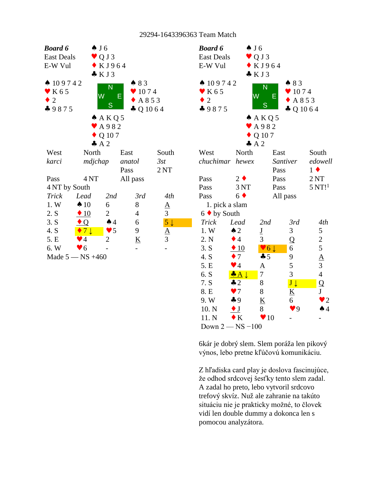| <b>Board 6</b>            |                          | $\clubsuit$ J 6            |                          |                 | Boc            |
|---------------------------|--------------------------|----------------------------|--------------------------|-----------------|----------------|
| <b>East Deals</b>         |                          | $\vee$ Q J 3               |                          |                 | Eas            |
| E-W Vul                   |                          | $\bullet$ KJ964            |                          |                 | $E-V$          |
|                           |                          | $\bullet$ KJ3              |                          |                 |                |
| $\spadesuit$ 109742       |                          |                            | $\bullet$ 83             |                 |                |
| $\blacktriangledown$ K 65 |                          | N                          | $\bullet$ 1074           |                 | • I            |
| $\bullet$ 2               |                          | W                          | E<br>$\triangle$ A 8 5 3 |                 | $\tilde{z}$    |
| $-9875$                   |                          | S                          | $\clubsuit$ Q 10 6 4     |                 | $\clubsuit$    |
|                           |                          | A K Q 5                    |                          |                 |                |
|                           |                          | $\blacktriangleright$ A982 |                          |                 |                |
|                           |                          | $\bullet$ Q 107            |                          |                 |                |
|                           |                          | A2                         |                          |                 |                |
| West                      | North                    |                            | East                     | South           | We             |
| karci                     | mdjchap                  |                            | anatol                   | 3st             | $\ell$ hu      |
|                           |                          |                            | Pass                     | 2 <sub>NT</sub> |                |
| Pass                      | 4 <sub>NT</sub>          |                            | All pass                 |                 | Pas            |
| 4 NT by South             |                          |                            |                          |                 | Pas            |
| <b>Trick</b>              | Lead                     | 2nd                        | 3rd                      | 4th             | Pas            |
| 1. W                      | $\spadesuit$ 10          | 6                          | 8                        | $\underline{A}$ | 1              |
| 2. S                      | $\triangle$ 10           | $\overline{2}$             | 4                        | $\overline{3}$  | 6 <sub>1</sub> |
| 3. S                      | $\bullet$ Q              | $\spadesuit$ 4             | 6                        | $5\downarrow$   | Tr             |
| 4. S                      | $\bullet$ 7 $\downarrow$ | $\blacktriangledown$ 5     | 9                        | $rac{A}{3}$     | 1.             |
| 5. E                      | $\blacktriangledown$ 4   | 2                          | $\underline{\mathbf{K}}$ |                 | 2.1            |
| 6. W                      | $\blacktriangledown 6$   |                            |                          |                 | 3.1            |
|                           | Made $5 - NS +460$       |                            |                          |                 | 4.             |

| <b>Board 6</b>       | $\spadesuit$ J6        |                          |                      |                         |  |
|----------------------|------------------------|--------------------------|----------------------|-------------------------|--|
| <b>East Deals</b>    |                        | QJ3                      |                      |                         |  |
| E-W Vul              |                        | KJ964                    |                      |                         |  |
|                      | KJ3                    |                          |                      |                         |  |
| $\spadesuit$ 109742  |                        | N                        | $\bullet$ 83         |                         |  |
| K 6 5                | W                      |                          | 1074                 |                         |  |
| $\overline{2}$       |                        | Е                        | A 8 5 3              |                         |  |
| $-9875$              |                        | S                        | $\clubsuit$ Q 10 6 4 |                         |  |
|                      |                        | A K Q 5                  |                      |                         |  |
|                      |                        | A982                     |                      |                         |  |
|                      |                        | Q 107                    |                      |                         |  |
|                      | A2                     |                          |                      |                         |  |
| West                 | North                  | East                     |                      | South                   |  |
| chuchimar hewex      |                        |                          | Santiver             | edowell                 |  |
|                      |                        | Pass                     |                      | $1 \bullet$             |  |
| Pass                 | $2 \bullet$            | Pass                     |                      | 2NT                     |  |
| Pass                 | 3 <sub>NT</sub>        | Pass                     |                      | $5 \mathrm{NT}!^1$      |  |
| Pass                 | $6 \blacklozenge$      |                          | All pass             |                         |  |
| 1. pick a slam       |                        |                          |                      |                         |  |
| $6 \bullet$ by South |                        |                          |                      |                         |  |
| Trick                | Lead                   | 2nd                      | 3rd                  | 4th                     |  |
| 1. W                 | $\triangle$ 2          | $\underline{\mathbf{J}}$ | 3                    | 5                       |  |
| 2. N                 | $\bullet$ 4            | 3                        | Q                    | $rac{2}{5}$             |  |
| 3. S                 | $\triangle$ 10         | $\vee 6 \downarrow$      | 6                    |                         |  |
| 4. S                 | $\bullet$ 7            | 45                       | 9                    | $\overline{\mathbf{A}}$ |  |
| 5. E                 | $\blacktriangledown$ 4 | $\overline{\mathbf{A}}$  | 5                    | $\overline{3}$          |  |
| 6. S                 | $\bullet A \downarrow$ | $\overline{7}$           | 3                    | $\overline{4}$          |  |
| 7. S                 | $\clubsuit$ 2          | 8                        | $J\downarrow$        | Q                       |  |
| 8. E                 | $\bullet$ 7            | 8                        | <u>K</u>             | $\mathbf{J}$            |  |
| 9.W                  | $\clubsuit$ 9          | $\underline{K}$          | 6                    | $\bullet$ 2             |  |
| 10. N                | $\bullet$ J            | 8                        | $\bullet$ 9          | $\spadesuit$ 4          |  |
| 11. N                | $\bullet K$            | 10                       |                      |                         |  |
| Down $2 - NS - 100$  |                        |                          |                      |                         |  |

6kár je dobrý slem. Slem poráža len pikový výnos, lebo pretne kľúčovú komunikáciu.

Z hľadiska card play je doslova fascinujúce, že odhod srdcovej šesťky tento slem zadal. A zadal ho preto, lebo vytvoril srdcovo trefový skvíz. Nuž ale zahranie na takúto situáciu nie je prakticky možné, to človek vidí len double dummy a dokonca len s pomocou analyzátora.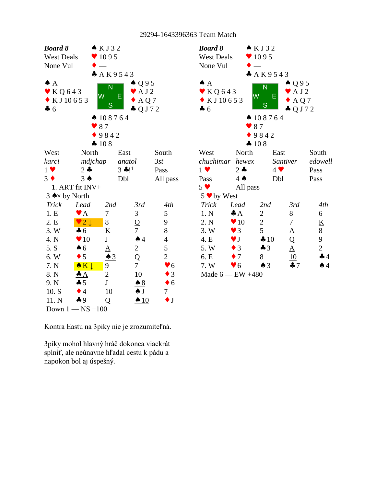| <b>Board 8</b><br><b>West Deals</b><br>None Vul  |                         | KJ32<br>$\bullet$ 1095<br>A K 9 5 4 3 |                                |                | <b>Boa</b><br>We:<br>Nor |
|--------------------------------------------------|-------------------------|---------------------------------------|--------------------------------|----------------|--------------------------|
| $\spadesuit$ A                                   |                         | N                                     | $\triangle Q95$                |                | $\bullet$ $\land$        |
| $\blacktriangleright$ KQ643<br>$\bullet$ KJ10653 |                         | W                                     | $\blacktriangleright$ AJ2<br>Ε |                | $\blacktriangledown$ }   |
| $\clubsuit$ 6                                    |                         | S                                     | AQ7<br>$-QJ72$                 |                | $\bullet$ F<br>466       |
|                                                  |                         | $\spadesuit$ 108764                   |                                |                |                          |
|                                                  |                         | 87                                    |                                |                |                          |
|                                                  |                         | 9842                                  |                                |                |                          |
|                                                  |                         | 4108                                  |                                |                |                          |
| West                                             | North                   |                                       | East                           | South          | We:                      |
| karci                                            | mdjchap                 |                                       | anatol                         | 3st            | $\mathit{chu}$           |
| $1 \vee$                                         | $2 -$                   |                                       | $3 * 11$                       | Pass           | $1 \vee$                 |
| $3 \bullet$                                      | $3 \spadesuit$          |                                       | Dbl                            | All pass       | Pas:                     |
|                                                  | 1. ART fit INV+         |                                       |                                |                | 5 <sub>9</sub>           |
| 3 $\triangle \times$ by North                    |                         |                                       |                                |                | 5 <sub>•</sub>           |
| <b>Trick</b>                                     | Lead                    | 2nd                                   | 3rd                            | 4th            | Tri                      |
| 1.E                                              | $\bullet$ A             | 7                                     | 3                              | 5              | 1.1                      |
| 2. E                                             | $\sqrt{2}$              | 8                                     | Q                              | 9              | 2.1                      |
| 3.W                                              | $\clubsuit$ 6           | $\underline{\mathbf{K}}$              | $\overline{7}$                 | 8              | 3.1                      |
| 4. N                                             | $\blacktriangledown$ 10 | J                                     | $\triangle 4$                  | $\overline{4}$ | 4. I                     |
| 5. S                                             | $\clubsuit$ 6           | $\underline{A}$                       | $\overline{2}$                 | 5              | 5.1                      |
| 6. W                                             | $\bullet$ 5             | $\triangle$ 3                         | Q                              | $\overline{c}$ | 6. I                     |
| 7. N                                             | $\bullet K$             | 9                                     | $\tau$                         | $\bullet$ 6    | 7.3                      |
| 8. N                                             | $\triangleq$            | $\overline{c}$                        | 10                             | $\bullet$ 3    | Ma                       |
| 9. N                                             | $\clubsuit$ 5           | $\mathbf{J}$                          | $\clubsuit 8$                  | $\bullet$ 6    |                          |
| 10. S                                            | $\bullet$ 4             | 10                                    | <u>A J</u>                     | 7              |                          |
| 11. N                                            | $\clubsuit$ 9           | Q                                     | $\triangle$ 10                 | $\bullet$ J    |                          |
|                                                  | Down $1 - NS - 100$     |                                       |                                |                |                          |

Kontra Eastu na 3piky nie je zrozumiteľná.

3piky mohol hlavný hráč dokonca viackrát splniť, ale neúnavne hľadal cestu k pádu a napokon bol aj úspešný.

| <b>Board 8</b><br><b>West Deals</b><br>None Vul<br>$\spadesuit$ A<br>$\bullet$ KQ643<br>$\bullet$ KJ10653<br>466 | W<br>$\bullet$ 87<br>4 108 | KJ32<br>$\bullet$ 1095<br>A K 9 5 4 3<br>N<br>Е<br>S<br>$\spadesuit$ 108764<br>9842 | $\triangle$ Q 9 5<br>$\blacktriangleright$ A J 2<br>$\bullet$ AQ7<br>$\clubsuit$ Q J 7 2 |                             |  |
|------------------------------------------------------------------------------------------------------------------|----------------------------|-------------------------------------------------------------------------------------|------------------------------------------------------------------------------------------|-----------------------------|--|
| West                                                                                                             | North                      |                                                                                     | East                                                                                     | South                       |  |
| chuchimar hewex                                                                                                  |                            |                                                                                     | Santiver                                                                                 | edowell                     |  |
| $1 \vee$                                                                                                         | $2 -$                      | $4 \vee$                                                                            |                                                                                          | Pass                        |  |
| Pass                                                                                                             | $4 \spadesuit$             |                                                                                     | Dbl                                                                                      | Pass                        |  |
| $5 \vee$                                                                                                         | All pass                   |                                                                                     |                                                                                          |                             |  |
| $5 \vee$ by West                                                                                                 |                            |                                                                                     |                                                                                          |                             |  |
| <b>Trick</b>                                                                                                     | Lead                       | 2nd                                                                                 | 3rd                                                                                      | 4th                         |  |
| 1. N                                                                                                             | $\triangleq$               | 2                                                                                   | 8                                                                                        | 6                           |  |
| 2. N                                                                                                             | $\blacktriangledown 10$    | $\sqrt{2}$                                                                          | 7                                                                                        | $\underline{\underline{K}}$ |  |
| 3. W                                                                                                             | $\blacktriangledown$ 3     | 5                                                                                   | $\underline{A}$                                                                          | 8                           |  |
| 4. E                                                                                                             | $\blacktriangledown$ J     | 410                                                                                 | Q                                                                                        | 9                           |  |
| 5. W                                                                                                             | $\bullet$ 3                | $\clubsuit$ 3                                                                       | $\overline{\mathbf{A}}$                                                                  | $\overline{2}$              |  |
| 6. E                                                                                                             | $\bullet$ 7                | 8                                                                                   | 10                                                                                       | 44                          |  |
| 7. W                                                                                                             | $\blacktriangledown 6$     | $\triangle$ 3                                                                       | $\clubsuit$ 7                                                                            | $\spadesuit$ 4              |  |
| Made $6$ - EW $+480$                                                                                             |                            |                                                                                     |                                                                                          |                             |  |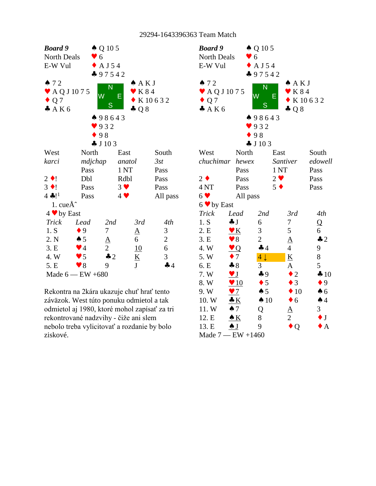

Rekontra na 2kára ukazuje chuť hrať tento záväzok. West túto ponuku odmietol a tak odmietol aj 1980, ktoré mohol zapísať za tri rekontrované nadzvihy - čiže ani slem nebolo treba vylicitovať a rozdanie by bolo ziskové.

| <b>Board</b> 9                |                                                   | $\triangle$ Q 10 5      |                          |                |  |
|-------------------------------|---------------------------------------------------|-------------------------|--------------------------|----------------|--|
| <b>North Deals</b>            | $\bullet$ 6                                       |                         |                          |                |  |
| E-W Vul                       |                                                   | $\triangle$ A J 54      |                          |                |  |
|                               |                                                   | $-97542$                |                          |                |  |
| 72                            |                                                   | $\overline{\mathsf{N}}$ | A K J                    |                |  |
| $\blacktriangleright$ AQJ1075 |                                                   | W                       | K 8 4<br>Е               |                |  |
| $\bullet$ Q 7                 |                                                   | S                       |                          | K10632         |  |
| A K 6                         |                                                   |                         | $\clubsuit$ Q 8          |                |  |
|                               |                                                   | ▲ 98643                 |                          |                |  |
|                               |                                                   | 932                     |                          |                |  |
|                               |                                                   | 98                      |                          |                |  |
|                               |                                                   | J103                    |                          |                |  |
| West                          | North                                             |                         | East                     | South          |  |
|                               | chuchimar hewex                                   |                         | Santiver                 | edowell        |  |
|                               | Pass                                              |                         | 1 NT                     | Pass           |  |
| $2 \bullet$                   | Pass                                              |                         | $2 \bullet$              | Pass           |  |
| 4 <sub>NT</sub>               | Pass                                              |                         | $5 \bullet$              | Pass           |  |
| 6 <sub>9</sub>                | All pass                                          |                         |                          |                |  |
| $6 \vee by East$              |                                                   |                         |                          |                |  |
| <b>Trick</b>                  | Lead                                              | 2nd                     | 3rd                      | 4th            |  |
| 1. S                          | $\clubsuit$ J                                     | 6                       | $\tau$                   | $\overline{Q}$ |  |
| 2. E                          | $\mathbf{v} \mathbf{K}$                           | 3                       | 5                        | 6              |  |
| 3.E                           | $\blacktriangledown 8$                            | $\overline{2}$          | $\underline{A}$          | $\clubsuit$ 2  |  |
| 4. W                          | $\bullet$ Q                                       | 44                      | $\overline{4}$           | 9              |  |
| 5. W                          | $\overline{7}$                                    | $4\downarrow$           | $\underline{\mathbf{K}}$ | 8              |  |
| 6. E                          | $\clubsuit 8$                                     | 3                       | $\underline{A}$          | 5              |  |
| 7.W                           | $\underline{\mathbf{v}}$ $\underline{\mathbf{J}}$ | 49                      | $\overline{2}$           | 410            |  |
| 8. W                          | $\bullet$ 10                                      | $\bullet$ 5             | $\bullet$ 3              | $\bullet$ 9    |  |
| 9. W                          | $\sqrt{7}$                                        | $\spadesuit 5$          | $\blacklozenge$ 10       | $\spadesuit$ 6 |  |
| 10. W                         | $\triangle K$                                     | $\spadesuit$ 10         | $\bullet$ 6              | $\spadesuit$ 4 |  |
| 11.W                          | $\spadesuit$ 7                                    | Q                       | $\overline{\rm A}$       | 3 <sup>1</sup> |  |
| 12. E                         | $\triangle K$                                     | 8                       | $\overline{2}$           | $\bullet$ J    |  |
| 13. E                         | $\frac{1}{2}$                                     | 9                       | Q                        | $\mathbf{A}$   |  |
|                               | Made $7 - EW + 1460$                              |                         |                          |                |  |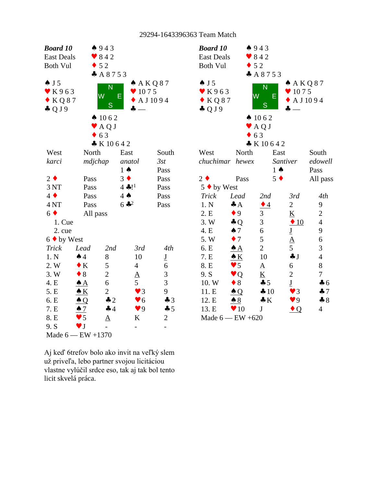

| <b>Board 10</b>                                                          |                         | 4943                          |                                                  |                |  |  |  |  |  |
|--------------------------------------------------------------------------|-------------------------|-------------------------------|--------------------------------------------------|----------------|--|--|--|--|--|
| <b>East Deals</b>                                                        |                         | $\bullet$ 842                 |                                                  |                |  |  |  |  |  |
| <b>Both Vul</b>                                                          | $\bullet$ 52            |                               |                                                  |                |  |  |  |  |  |
|                                                                          |                         | A8753                         |                                                  |                |  |  |  |  |  |
| $\triangle$ J 5<br>$\blacktriangleright$ K963<br>KQ87<br>$\clubsuit$ QJ9 | W                       | N<br>Ε<br>S<br>$\bullet$ 1062 | A K Q 87<br>$\bullet$ 1075<br>$\bullet$ A J 1094 |                |  |  |  |  |  |
|                                                                          |                         | AQJ                           |                                                  |                |  |  |  |  |  |
|                                                                          |                         | 63                            |                                                  |                |  |  |  |  |  |
|                                                                          |                         | $\bullet K10642$              |                                                  |                |  |  |  |  |  |
| West                                                                     | North                   | East                          |                                                  | South          |  |  |  |  |  |
| chuchimar hewex                                                          |                         |                               | Santiver                                         | edowell        |  |  |  |  |  |
|                                                                          |                         | $1 \spadesuit$                |                                                  | Pass           |  |  |  |  |  |
| $2 \bullet$                                                              | Pass                    | $5 \bullet$                   |                                                  | All pass       |  |  |  |  |  |
| 5 ◆ by West                                                              |                         |                               |                                                  |                |  |  |  |  |  |
| <b>Trick</b>                                                             | Lead                    | 2nd                           | 3rd                                              | 4th            |  |  |  |  |  |
| 1. N                                                                     | $\clubsuit$ $A$         | $\bullet$ 4                   | $\mathbf{2}$                                     | 9              |  |  |  |  |  |
| 2. E                                                                     | $\bullet$ 9             | 3                             | $\underline{\mathbf{K}}$                         | $\overline{c}$ |  |  |  |  |  |
| 3. W                                                                     | $\clubsuit$ Q           | 3                             | $\triangle$ 10                                   | $\overline{4}$ |  |  |  |  |  |
| 4. E                                                                     | $\spadesuit$ 7          | 6                             | $\underline{\mathbf{J}}$                         | 9              |  |  |  |  |  |
| 5. W                                                                     | $\bullet$ 7             | 5                             | $\Delta$                                         | 6              |  |  |  |  |  |
| 6. E                                                                     | $\clubsuit$ $A$         | $\overline{2}$                | 5                                                | 3              |  |  |  |  |  |
| 7. E                                                                     | $\underline{\bullet K}$ | 10                            | $\clubsuit$ J                                    | $\overline{4}$ |  |  |  |  |  |
| 8. E                                                                     | $\bullet$ 5             | $\overline{\mathbf{A}}$       | 6                                                | 8              |  |  |  |  |  |
| 9. S                                                                     | $\bullet$ Q             | <u>K</u>                      | $\overline{c}$                                   | 7              |  |  |  |  |  |
| 10. W                                                                    | $\bullet$ 8             | $\clubsuit$ 5                 | $\underline{\mathbf{J}}$                         | $\clubsuit$ 6  |  |  |  |  |  |
| 11. E                                                                    | $\triangle Q$           | $\clubsuit 10$                | $\blacktriangledown$ 3                           | $\clubsuit$ 7  |  |  |  |  |  |
| 12. E                                                                    | $\triangle$ 8           | $\clubsuit K$                 | $\bullet$ 9                                      | $\clubsuit 8$  |  |  |  |  |  |
| 13. E                                                                    | $\blacktriangledown 10$ | J                             | $\bullet$ Q                                      | 4              |  |  |  |  |  |
|                                                                          | Made $6$ - EW $+620$    |                               |                                                  |                |  |  |  |  |  |

Aj keď 6trefov bolo ako invit na veľký slem už priveľa, lebo partner svojou licitáciou vlastne vylúčil srdce eso, tak aj tak bol tento licit skvelá práca.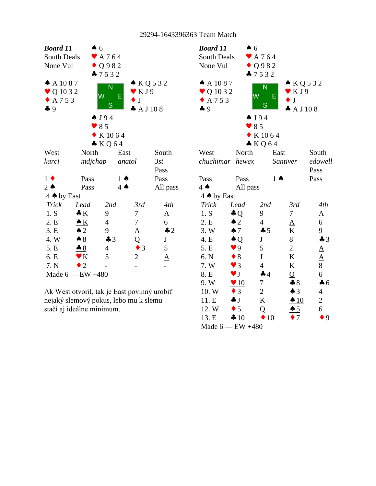

Ak West otvoril, tak je East povinný urobiť nejaký slemový pokus, lebo mu k slemu stačí aj ideálne minimum.

| <b>Board 11</b>                              | $\clubsuit$ 6          |                    |                          |                 |  |  |  |
|----------------------------------------------|------------------------|--------------------|--------------------------|-----------------|--|--|--|
| $\blacktriangleright$ A 7 6 4<br>South Deals |                        |                    |                          |                 |  |  |  |
| $\bullet$ Q 9 8 2<br>None Vul                |                        |                    |                          |                 |  |  |  |
|                                              |                        | $-7532$            |                          |                 |  |  |  |
| $A$ A 1087                                   |                        | N                  | $\triangle$ KQ 532       |                 |  |  |  |
| $\blacktriangledown$ Q 10 3 2                | W                      | Е                  | $\blacktriangledown$ KJ9 |                 |  |  |  |
| $\triangle$ A 7 5 3                          |                        | S                  | J                        |                 |  |  |  |
| 49                                           |                        |                    | A J 108                  |                 |  |  |  |
|                                              | $\bullet$ J94          |                    |                          |                 |  |  |  |
|                                              | $\bullet$ 85           |                    |                          |                 |  |  |  |
|                                              |                        | K 1064             |                          |                 |  |  |  |
|                                              |                        | $\bullet$ KQ64     |                          |                 |  |  |  |
| West                                         | North                  | East               |                          | South           |  |  |  |
| chuchimar hewex                              |                        |                    | <b>Santiver</b>          | edowell         |  |  |  |
|                                              |                        |                    |                          | Pass            |  |  |  |
| Pass                                         | Pass                   | $1 \spadesuit$     |                          | Pass            |  |  |  |
| $4 \spadesuit$                               | All pass               |                    |                          |                 |  |  |  |
| 4 $\bullet$ by East                          |                        |                    |                          |                 |  |  |  |
| <b>Trick</b>                                 | Lead                   | 2nd                | 3rd                      | 4th             |  |  |  |
| 1. S                                         | $\clubsuit$ Q          | 9                  | 7                        | $\underline{A}$ |  |  |  |
| 2. E                                         | $\triangle$ 2          | $\overline{4}$     | ${\underline{\rm A}}$    | 6               |  |  |  |
| 3. W                                         | $\spadesuit$ 7         | 45                 | $\underline{\mathbf{K}}$ | 9               |  |  |  |
| 4. E                                         | $\triangle Q$          | $\mathbf{J}$       | 8                        | $\clubsuit$ 3   |  |  |  |
| 5. E                                         | $\bullet$ 9            | 5                  | $\overline{2}$           | $\underline{A}$ |  |  |  |
| 6. N                                         | $\bullet$ 8            | J                  | K                        | $\underline{A}$ |  |  |  |
| 7. W                                         | $\vee$ 3               | $\overline{4}$     | $\bf K$                  | 8               |  |  |  |
| 8. E                                         | $\blacktriangledown$ J | $\clubsuit$ 4      | Q                        | 6               |  |  |  |
| 9. W                                         | $\bullet$ 10           | 7                  | $\clubsuit 8$            | $\clubsuit$ 6   |  |  |  |
| 10. W                                        | $\bullet$ 3            | $\overline{2}$     | $\triangle$ 3            | $\overline{4}$  |  |  |  |
| 11. E                                        | $\clubsuit$ J          | K                  | $\triangle$ 10           | $\mathbf{2}$    |  |  |  |
| 12. W                                        | $\bullet$ 5            | Q                  | $\triangle$ 5            | 6               |  |  |  |
| 13. E                                        | $\clubsuit 10$         | $\blacklozenge$ 10 | 7                        | 9               |  |  |  |
| Made $6$ - EW $+480$                         |                        |                    |                          |                 |  |  |  |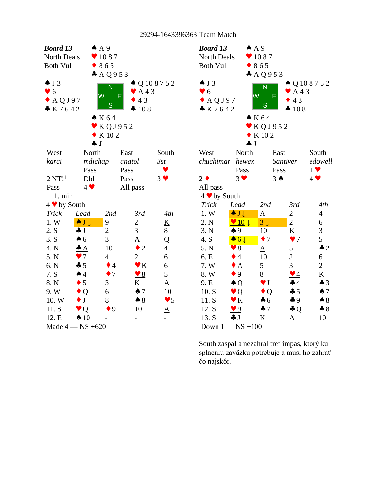| <b>Board 13</b>    |                             | AA9                        |                                  |                      | <b>Board 13</b>     | AA9                                              |                                                   |                           |                              |  |
|--------------------|-----------------------------|----------------------------|----------------------------------|----------------------|---------------------|--------------------------------------------------|---------------------------------------------------|---------------------------|------------------------------|--|
| North Deals        |                             | $\bullet$ 1087             |                                  |                      | North Deals         |                                                  | $\blacktriangledown$ 1087                         |                           |                              |  |
| <b>Both Vul</b>    |                             | $* 865$                    |                                  |                      | <b>Both Vul</b>     |                                                  | $* 865$                                           |                           |                              |  |
|                    |                             | A Q 9 5 3                  |                                  |                      |                     |                                                  | A Q 9 5 3                                         |                           |                              |  |
| $\triangle$ J 3    |                             | N                          |                                  | $\triangle Q$ 108752 | $\triangle$ J 3     |                                                  | $\overline{N}$                                    |                           | ▲ Q 10 8 7 5 2               |  |
| $\bullet$ 6        |                             | W<br>E                     | $\blacktriangleright$ A43        |                      | $\bullet$ 6         |                                                  | W<br>E                                            | $\blacktriangleright$ A43 |                              |  |
| $\triangle$ AQJ97  |                             | S                          | $\bullet$ 43                     |                      | $\triangle$ AQJ97   |                                                  | S                                                 | 43                        |                              |  |
| K7642              |                             |                            | 4 108                            |                      | K7642               |                                                  |                                                   | 4 108                     |                              |  |
|                    |                             | $\bullet K64$              |                                  |                      |                     |                                                  | K64                                               |                           |                              |  |
|                    |                             | $\triangledown$ KQJ952     |                                  |                      |                     |                                                  | $\blacktriangledown$ KQJ952                       |                           |                              |  |
|                    |                             | $\bullet$ K 102            |                                  |                      |                     |                                                  | $\bullet$ K 102                                   |                           |                              |  |
|                    | $\clubsuit$ J               |                            |                                  |                      |                     | $\clubsuit$ J                                    |                                                   |                           |                              |  |
| West               | North                       |                            | East                             | South                | West                | North                                            |                                                   | East                      | South                        |  |
| karci              | mdjchap                     |                            | anatol                           | 3st                  | chuchimar hewex     |                                                  |                                                   | Santiver                  | edowell                      |  |
|                    | Pass                        |                            | Pass                             | $1 \vee$             |                     | Pass                                             |                                                   | Pass                      | $1 \vee$                     |  |
| 2 N T!             | Dbl                         |                            | Pass                             | $3 \vee$             | $2 \bullet$         | $3 \vee$                                         |                                                   | $3 \spadesuit$            | $4$ $\blacktriangledown$     |  |
| Pass               | $4 \vee$                    |                            | All pass                         |                      | All pass            |                                                  |                                                   |                           |                              |  |
| 1. min             |                             |                            |                                  |                      | 4 v by South        |                                                  |                                                   |                           |                              |  |
| 4 v by South       |                             |                            |                                  |                      | <b>Trick</b>        | Lead                                             | 2nd                                               | 3rd                       | 4th                          |  |
| <b>Trick</b>       | Lead                        | 2nd                        | 3rd                              | 4th                  | 1. W                | $\bullet$ J $\downarrow$                         | $\underline{A}$                                   | $\mathbf{2}$              | $\overline{4}$               |  |
| 1.W                | $\bullet$ J $\downarrow$    | $\mathbf{9}$<br>$\sqrt{2}$ | $\overline{c}$<br>$\overline{3}$ | $\underline{K}$<br>8 | 2. N<br>3. N        | $\vee$ 10 $\downarrow$                           | $3\downarrow$                                     | $\overline{2}$            | $\sqrt{6}$<br>$\mathfrak{Z}$ |  |
| 2. S<br>3. S       | J<br>$\clubsuit$ 6          | $\overline{3}$             |                                  |                      | 4. S                | $\spadesuit$ 9                                   | 10<br>$\bullet$ 7                                 | $\underline{\mathbf{K}}$  | 5                            |  |
| 4. N               |                             | 10                         | $\underline{A}$<br>$\bullet$ 2   | Q<br>$\overline{4}$  | 5. N                | $\bullet 6 \downarrow$<br>$\blacktriangledown 8$ |                                                   | $\frac{97}{2}$<br>5       | $\clubsuit$ 2                |  |
| 5. N               | $\triangleq$<br>$\bullet$ 7 | $\overline{4}$             | $\overline{2}$                   | $\boldsymbol{6}$     | 6. E                | $\bullet$ 4                                      | $\underline{A}$<br>10                             | $\underline{\mathbf{J}}$  | $\boldsymbol{6}$             |  |
| 6. N               | $-5$                        | $\bullet$ 4                | $\underline{\mathbf{v}}$ K       | 6                    | 7.W                 | $\bullet$ A                                      | 5                                                 | $\overline{3}$            | $\overline{2}$               |  |
| 7. S               | $\spadesuit$ 4              | $\bullet$ 7                | $\underline{\triangledown}8$     | 5                    | 8.W                 | $\bullet$ 9                                      | 8                                                 | $\mathbf{V}$ 4            | $\bf K$                      |  |
| 8. N               | $\bullet$ 5                 | 3                          | K                                | $\underline{A}$      | 9. E                | $\triangle Q$                                    | $\underline{\mathbf{v}}$ $\underline{\mathbf{v}}$ | 44                        | $\clubsuit$ 3                |  |
| 9.W                | $\bullet$ Q                 | 6                          | $\spadesuit$ 7                   | 10                   | 10. S               | Q                                                | $\bullet$ Q                                       | $\clubsuit$ 5             | $\spadesuit$ 7               |  |
| 10. W              | $\bullet$ J                 | 8                          | $\clubsuit 8$                    | $\frac{95}{2}$       | 11. S               | $\underline{\mathbf{v}}$ K                       | $\clubsuit$ 6                                     | 49                        | $\clubsuit 8$                |  |
| 11. S              | $\bullet$ Q                 | $\bullet$ 9                | 10                               | $\underline{A}$      | 12. S               | $\mathbf{V}9$                                    | $-7$                                              | $\clubsuit Q$             | $\clubsuit 8$                |  |
| 12. E              | $\spadesuit$ 10             |                            | $\overline{\phantom{a}}$         | $\overline{a}$       | 13. S               | $\clubsuit$ J                                    | $\bf K$                                           | $\underline{A}$           | 10                           |  |
| Made $4 - NS +620$ |                             |                            |                                  |                      | Down $1 - NS - 100$ |                                                  |                                                   |                           |                              |  |
|                    |                             |                            |                                  |                      |                     |                                                  |                                                   |                           |                              |  |

South zaspal a nezahral tref impas, ktorý ku splneniu zaväzku potrebuje a musí ho zahrať čo najskôr.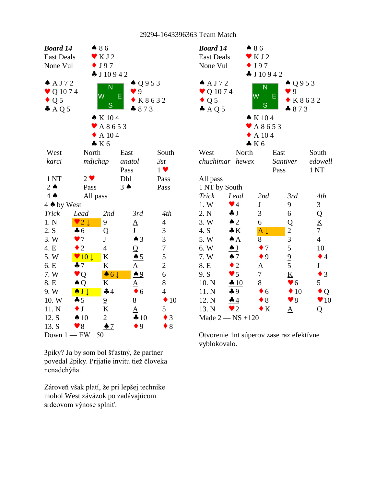

3piky? Ja by som bol šťastný, že partner povedal 2piky. Prijatie invitu tiež človeka nenadchýňa.

Zároveň však platí, že pri lepšej technike mohol West záväzok po zadávajúcom srdcovom výnose splniť.



Otvorenie 1nt súperov zase raz efektívne vyblokovalo.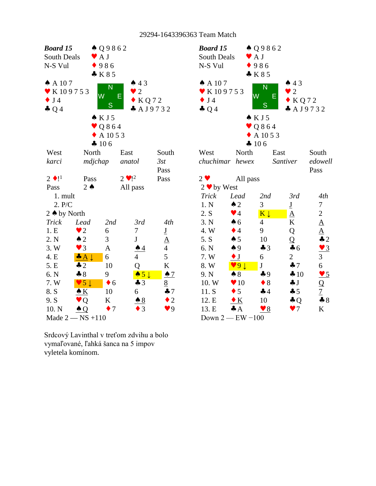| <b>Board 15</b>             |                        | $\triangle Q9862$         |                       |                             | <b>Boa</b>           |
|-----------------------------|------------------------|---------------------------|-----------------------|-----------------------------|----------------------|
| South Deals                 |                        | $\blacktriangleright$ A J |                       |                             | Sou                  |
| N-S Vul                     |                        | 986                       |                       |                             | $N-S$                |
|                             |                        | K85                       |                       |                             |                      |
| $\spadesuit$ A 107          |                        |                           | 43                    |                             | $\clubsuit$ $\angle$ |
| ▼ K 109753                  |                        | N                         | $\bullet$ 2           |                             | $\bullet$ k          |
| J <sub>4</sub><br>$\bullet$ |                        | W                         | Е<br>$\bullet$ KQ72   |                             | $\bullet$ J          |
| $\clubsuit$ Q 4             |                        | S                         | A J9732               |                             | $\clubsuit$ (        |
|                             |                        | $\bullet$ KJ5             |                       |                             |                      |
|                             |                        | $\bullet$ Q 8 6 4         |                       |                             |                      |
|                             |                        | $\triangle$ A 10 5 3      |                       |                             |                      |
|                             |                        | 4 106                     |                       |                             |                      |
| West                        | North                  |                           | East                  | South                       | We:                  |
| karci                       | mdjchap                |                           | anatol                | 3st                         | $\mathit{chu}$       |
|                             |                        |                           |                       | Pass                        |                      |
| $2 \bullet 1^1$             | Pass                   |                           | $2 \cdot 1^2$         | Pass                        | $2 \bullet$          |
| Pass                        | $2 \triangle$          |                           | All pass              |                             | 2 <sub>0</sub>       |
| 1. mult                     |                        |                           |                       |                             | Tri                  |
| 2. P/C                      |                        |                           |                       |                             | 1.1                  |
| 2 $\triangle$ by North      |                        |                           |                       |                             | 2.                   |
| <b>Trick</b>                | Lead                   | 2nd                       | 3rd                   | 4th                         | 3.1                  |
| 1.E                         | $\bullet$ 2            | 6                         | 7                     | $\underline{\mathbf{J}}$    | 4.1                  |
| 2. N                        | $\triangle$ 2          | 3                         | $\mathbf J$           | $\underline{A}$             | 5.                   |
| 3. W                        | $\bullet$ 3            | A                         | $\triangle 4$         | $\overline{4}$              | 6. I                 |
| 4. E                        | $\bullet A \downarrow$ | 6                         | $\overline{4}$        | 5                           | 7.3                  |
| 5. E                        | $\clubsuit$ 2          | 10                        | Q                     | $\underline{\underline{K}}$ | 8.1                  |
| 6. N                        | $-8$                   | 9                         | $\bullet 5\downarrow$ | $\triangle$ 7               | 9.1                  |
| 7. W                        | $\vee$ 5 $\downarrow$  | $\bullet$ 6               | $\clubsuit$ 3         | $\underline{8}$             | 10.                  |
| 8. S                        | $\triangle K$          | 10                        | 6                     | 47                          | 11.                  |
| 9. S                        | $\bullet$ Q            | K                         | $\triangle$ 8         | $\bullet$ 2                 | 12.                  |
| 10. N                       | $\triangle Q$          | -7                        | $\bullet$ 3           | $\blacktriangledown 9$      | 13.                  |
|                             | Made $2 - NS + 110$    |                           |                       |                             | Do                   |

| <b>Board 15</b>    |                         | ▲ Q 9 8 6 2               |                          |                                                                                     |  |  |  |
|--------------------|-------------------------|---------------------------|--------------------------|-------------------------------------------------------------------------------------|--|--|--|
| South Deals        |                         | $\blacktriangleright$ A J |                          |                                                                                     |  |  |  |
| N-S Vul<br>986     |                         |                           |                          |                                                                                     |  |  |  |
|                    |                         | K85                       |                          |                                                                                     |  |  |  |
| $\spadesuit$ A 107 |                         |                           | 43                       |                                                                                     |  |  |  |
| ▼ K109753          |                         | N                         | $\bullet$ 2              |                                                                                     |  |  |  |
| $\bullet$ J4       |                         | W<br>Е                    | $\bullet$ KQ72           |                                                                                     |  |  |  |
| $\clubsuit$ Q 4    |                         | S                         | A J9732                  |                                                                                     |  |  |  |
|                    |                         | $\bullet$ KJ5             |                          |                                                                                     |  |  |  |
|                    |                         | $\bullet$ Q864            |                          |                                                                                     |  |  |  |
|                    |                         | A 10 5 3                  |                          |                                                                                     |  |  |  |
|                    |                         | 4 106                     |                          |                                                                                     |  |  |  |
| West               | North                   | East                      |                          | South                                                                               |  |  |  |
| chuchimar hewex    |                         |                           | Santiver                 | edowell                                                                             |  |  |  |
|                    |                         |                           |                          | Pass                                                                                |  |  |  |
| $2 \bullet$        | All pass                |                           |                          |                                                                                     |  |  |  |
| $2 \cdot by West$  |                         |                           |                          |                                                                                     |  |  |  |
| <b>Trick</b>       | Lead                    | 2nd                       | 3rd                      | 4th                                                                                 |  |  |  |
| 1. N               | $\triangle$ 2           | 3                         | $\underline{\mathbf{J}}$ | 7                                                                                   |  |  |  |
| 2. S               | $\blacktriangledown$ 4  | $K \downarrow$            | $\underline{A}$          |                                                                                     |  |  |  |
| 3. N               | $\spadesuit$ 6          | $\overline{4}$            | K                        | $\frac{2}{\underline{A}}$<br>$\frac{4}{\underline{A}}$<br>$\frac{2}{\underline{A}}$ |  |  |  |
| 4. W               | $\bullet$ 4             | 9                         | Q                        |                                                                                     |  |  |  |
| 5. S               | $\spadesuit$ 5          | 10                        | Q                        |                                                                                     |  |  |  |
| 6. N               | $\spadesuit$ 9          | $\clubsuit$ 3             | $\clubsuit$ 6            | $\frac{9}{2}$                                                                       |  |  |  |
| 7. W               | $\bullet$ J             | 6                         | $\overline{2}$           | 3                                                                                   |  |  |  |
| 8. W               | 9 <sup>1</sup>          | $\bf J$                   | 47                       | $\overline{6}$                                                                      |  |  |  |
| 9. N               | $\clubsuit 8$           | $\clubsuit$ 9             | 410                      | $\frac{95}{2}$                                                                      |  |  |  |
| 10. W              | $\blacktriangledown 10$ | $\bullet$ 8               | $\clubsuit$ J            | Q                                                                                   |  |  |  |
| 11. S              | $\bullet$ 5             | $\clubsuit$ 4             | $\clubsuit 5$            | $\overline{1}$                                                                      |  |  |  |
| 12. E              | $\bullet K$             | 10                        | $\clubsuit$ Q            | $\clubsuit 8$                                                                       |  |  |  |
| 13. E              | $\clubsuit$ $A$         | $\bullet$ 8               | $\bullet$ 7              | K                                                                                   |  |  |  |
|                    | Down $2$ – EW -100      |                           |                          |                                                                                     |  |  |  |

Srdcový Lavinthal v treťom zdvihu a bolo vymaľované, ľahká šanca na 5 impov vyletela komínom.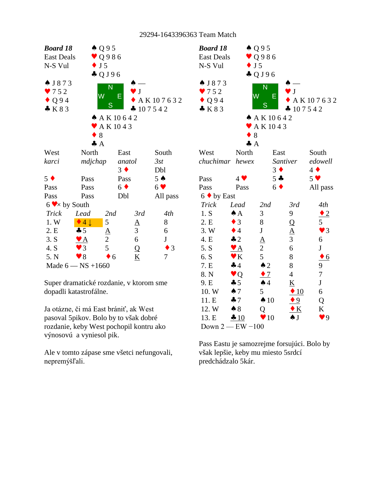

Super dramatické rozdanie, v ktorom sme dopadli katastrofálne.

Ja otázne, či má East brániť, ak West pasoval 5pikov. Bolo by to však dobré rozdanie, keby West pochopil kontru ako výnosovú a vyniesol pik.

Ale v tomto zápase sme všetci nefungovali, nepremýšľali.

| <b>Board 18</b><br><b>East Deals</b><br>N-S Vul | $\triangle Q95$<br>$\bullet$ J5 | $\vee$ Q986<br>$\clubsuit$ QJ96                             |                                       |                        |
|-------------------------------------------------|---------------------------------|-------------------------------------------------------------|---------------------------------------|------------------------|
| $\triangle$ J873<br>752<br>Q94<br>K83           | W<br>8                          | N<br>E<br>S<br>A K 10 6 4 2<br>$\blacktriangleright$ AK1043 | $\overline{\phantom{a}}$<br>$-107542$ | AK107632               |
|                                                 | $\clubsuit$ A                   |                                                             |                                       |                        |
| West<br>chuchimar hewex                         | North                           | East                                                        |                                       | South                  |
|                                                 |                                 | Santiver<br>$3 \bullet$                                     |                                       | edowell<br>$4 \bullet$ |
| Pass                                            | $4$ $\blacktriangledown$        | $5 -$                                                       |                                       | 5 <sub>v</sub>         |
| Pass                                            | Pass                            | $6 \blacklozenge$                                           |                                       | All pass               |
| $6 \cdot by East$                               |                                 |                                                             |                                       |                        |
| <b>Trick</b>                                    | Lead                            | 2nd                                                         | 3rd                                   | 4th                    |
| 1. S                                            | $\triangle$ A                   | 3                                                           | 9                                     | $\bullet$ 2            |
| 2. E                                            | $\bullet$ 3                     | 8                                                           | $\overline{Q}$                        | 5 <sup>5</sup>         |
| 3. W                                            | $\bullet$ 4                     | $\mathbf J$                                                 | $\underline{A}$                       | $\vee$ 3               |
| 4. E                                            | $\clubsuit$ 2                   | $\Delta$                                                    | $\overline{3}$                        | 6                      |
| 5. S                                            | $\blacktriangleright$ A         |                                                             | 6                                     | $\mathbf{J}$           |
| 6. S                                            | $\mathbf{v}$ K                  | $\frac{2}{5}$                                               | 8                                     | $\bullet$ 6            |
| 7. E                                            | 44                              | $\triangle$ 2                                               | 8                                     |                        |
| 8. N                                            | $\vee$ Q                        | $\bullet$ 7                                                 | $\overline{4}$                        | $\frac{9}{7}$          |
| 9. E                                            | $\clubsuit$ 5                   | $\spadesuit$ 4                                              | K                                     | $\mathbf{J}$           |
| 10.W                                            | $\spadesuit$ 7                  | 5                                                           | $\triangle$ 10                        | 6                      |
| 11. E                                           | 47                              | $\spadesuit$ 10                                             | $\bullet 9$                           | Q                      |
| 12. W                                           | $\clubsuit 8$                   | Q                                                           | $\bullet K$                           | K                      |
| 13. E                                           | 410                             | $\blacktriangledown 10$                                     | $\clubsuit$ $J$                       | 9 <sup>q</sup>         |
| Down $2$ - EW $-100$                            |                                 |                                                             |                                       |                        |

Pass Eastu je samozrejme forsujúci. Bolo by však lepšie, keby mu miesto 5srdcí predchádzalo 5kár.